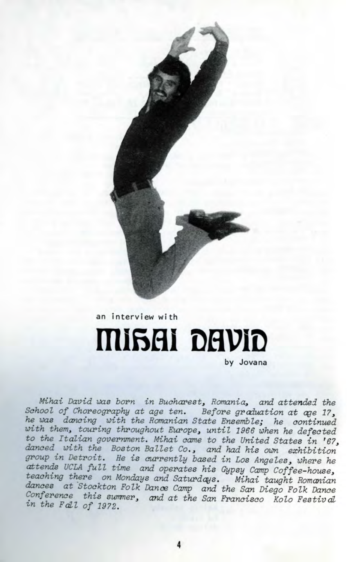

# **an interview wi th miBfli DflVID by Jovana**

Mihai David was born in Bucharest, Romania, and attended the School of Choreography at age ten. Before graduation at age 17, he was dancing with the Romanian State Ensemble; he continued with them, touring throughout Europe, until 1966 when he defected to the Italian government. Mihai came to the United States in '67, danced with the Boston Ballet Co., and had his own exhibition group in Detroit. He is currently based in Los Angeles, where he attends UCLA full time and operates his Gypsy Camp Coffee-house, teaching there on Mondays and Saturdays. Mihai taught Romanian dances at 'Stockton Folk Dance Camp and the San Diego Folk Dance Conference this summer, and at the San Francisco Kolo Festival in the Fall of 1972.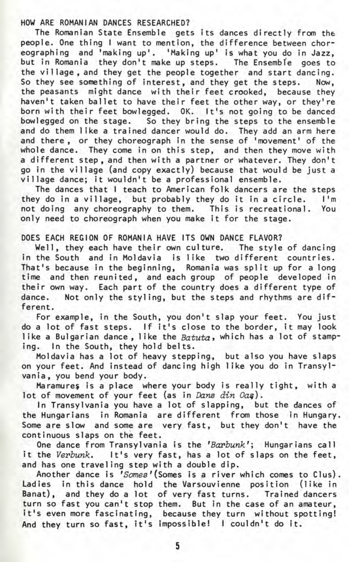HOW ARE ROMANIAN DANCES RESEARCHED?

The Romanian State Ensemble gets its dances directly from the people. One thing I want to mention, the difference between choreographing and 'making up'. 'Making up' is what you do in Jazz, but in Romania they don't make up steps. The Ensembl'e goes to the village , and they get the people together and start dancing. So they see something of interest, and they get the steps. Now, the peasants might dance with their feet crooked, because they haven't taken ballet to have their feet the other way, or they're born with their feet bowlegged. OK. It's not going to be danced bowlegged on the stage. So they bring the steps to the ensemble and do them like a trained dancer would do. They add an arm here and there, or they choreograph in the sense of 'movement' of the whole dance. They come in on this step, and then they move with a different step, and then with a partner or whatever. They don't go in the village (and copy exactly) because that would be just a village dance; it wouldn't be a professional ensemble.

The dances that I teach to American folk dancers are the steps they do in a village, but probably they do it in a circle.  $I<sup>1</sup>m$ not doing any choreography to them. This is recreational. You only need to choreograph when you make it for the stage.

DOES EACH REGION OF ROMANIA HAVE ITS OWN DANCE FLAVOR?

Well, they each have their own culture. The style of dancing in the South and in Moldavia is like two different countries. That's because in the beginning, Romania was split up for a long time and then reunited, and each group of people developed in their own way. Each part of the country does a different type of dance. Not only the styling, but the steps and rhythms are different.

For example, in the South, you don't slap your feet. You just do a lot of fast steps. If it's close to the border, it may look like a Bulgarian dance. like the  $Batuta$ , which has a lot of stamping. In the South, they hold belts.

Moldavia has a lot of heavy stepping, but also you have slaps on your feet. And instead of dancing high like you do in Transylvania, you bend your body.

Maramures is a place where your body is really tight, with a lot of movement of your feet (as in Dans din Oas).

In Transylvania you have a lot of slapping, but the dances of the Hungarians in Romania are different from those in Hungary. Some are slow and some are very fast, but they don't have the continuous slaps on the feet.

One dance from Transylvania is the 'Barbunk'; Hungarians call it the Verbunk. It's very fast, has a lot of slaps on the feet, and has one traveling step with a double dip.

Another dance is 'Somes'(Somes is a river which comes to Clus). Ladies in this dance hold the Varsouvienne position (like in Banat), and they do a lot of very fast turns. Trained dancers turn so fast you can't stop them. But in the case of an amateur, it's even more fascinating, because they turn without spotting! And they turn so fast, it's impossible! I couldn't do it.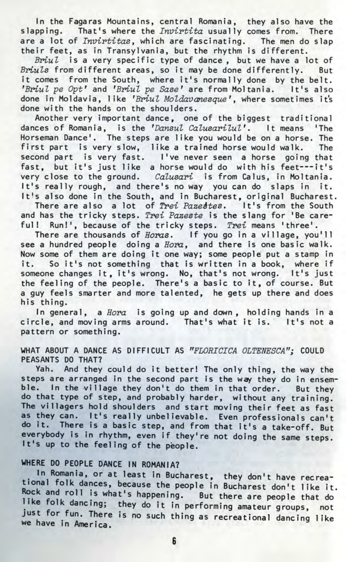In the Fagaras Mountains, central Romania, they also have the slapping. That's where the Invirtita usually comes from. There are a lot of *Invirtitas*, which are fascinating. The men do slap their feet, as in Transylvania, but the rhythm is different.

Briul is a very specific type of dance, but we have a lot of Briuls from different areas, so it may be done differently. But it comes from the South, where it's normally done by the belt. Briul pe Opt' and 'Briul pe Sase' are from Moltania. It's also done in Moldavia, like 'Briul Moldavanesque', where sometimes it's done with the hands on the shoulders.

Another very important dance, one of the biggest traditional dances of Romania, is the 'Dansul Calusarilul'. It means 'The Horseman Dance'. The steps are like you would be on a horse. The first part is very slow, like a trained horse would walk. The second part is very fast. I've never seen a horse going that fast, but it's just like a horse would do with his feet---it's very close to the ground. Calusari is from Calus, in Moltania. It's really rough, and there's no way you can do slaps in it. It's also done in the South, and in Bucharest, original Bucharest.

There are also a lot of Trei Pazestes. It's from the South and has the tricky steps. Trei Pazeste is the slang for 'Be careful! Run!', because of the tricky steps. Trei means 'three'.

There are thousands of  $\emph{Horas}$ . If you go in a village, you'll see a hundred people doing a  $Hora$ , and there is one basic walk. Now some of them are doing it one way; some people put a stamp in it. So it's not something that is written in a book, where if someone changes it, it's wrong. No, that's not wrong. It's just the feeling of the people. There's a basic to it, of course. But a guy feels smarter and more talented, he gets up there and does his thing.

In general, a Hora is going up and down, holding hands in a circle, and moving arms around. That's what it is. It's not a pattern or something.

### WHAT ABOUT A DANCE AS DIFFICULT AS "FLORICICA OLTENESCA"; COULD PEASANTS DO THAT?

Yah. And they could do it better! The only thing, the way the steps are arranged in the second part is the way they do in ensemble. In the village they don't do them in that order. But they do that type of step, and probably harder, without any training. The villagers hold shoulders and start moving their feet as fast as they can. It's really unbelievable. Even professionals can't do it. There is a basic step, and from that it's a take-off. But everybody is in rhythm, even if they're not doing the same steps. It's up to the feeling of the people.

## WHERE DO PEOPLE DANCE IN ROMANIA?

In Romania, or at least in Bucharest, they don't have recreational folk dances, because the people in Bucharest don't like it. Rock and roll is what's happening. But there are people that do like folk dancing; they do it in performing amateur groups, not just for fun. There is no such thing as recreational dancing like we have in America.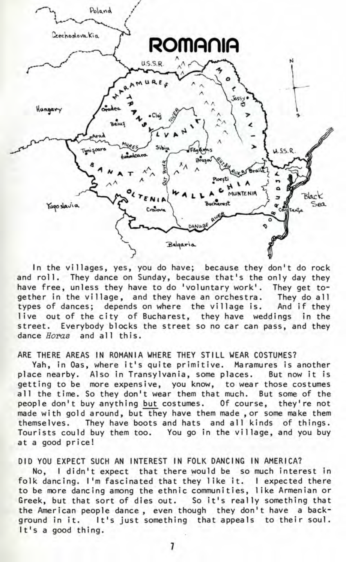

In the villages, yes, you do have; because they don't do rock and roll. They dance on Sunday, because that's the only day they<br>have free, unless they have to do 'voluntary work'. They get tohave free, unless they have to do 'voluntary work'. They get together in the village, and they have an orchestra. They do all types of dances; depends on where the village is. And if they live out of the city of Bucharest, they have weddings in the street. Everybody blocks the street so no car can pass, and they dance Horas and all this.

#### ARE THERE AREAS IN ROMANIA WHERE THEY STILL WEAR COSTUMES?

Yah, in Oas, where it's quite primitive. Maramures is another place nearby. Also in Transylvania, some places. But now it is getting to be more expensive, you know, to wear those costumes all the time. So they don't wear them that much. But some of the people don't buy anything but costumes. Of course, they're not made with gold around, but they have them made , or some make them themselves. They have boots and hats and all kinds of things. Tourists could buy them too. You go in the village, and you buy at a good price!

## DID YOU EXPECT SUCH AN INTEREST IN FOLK DANCING IN AMERICA?

No, I didn't expect that there would be so much interest in folk dancing. I'm fascinated that they like it. I expected there to be more dancing among the ethnic communities, like Armenian or Greek, but that sort of dies out. So it's really something that the American people dance , even though they don't have a background in it. It's just something that appeals to their soul. It's a good thing.